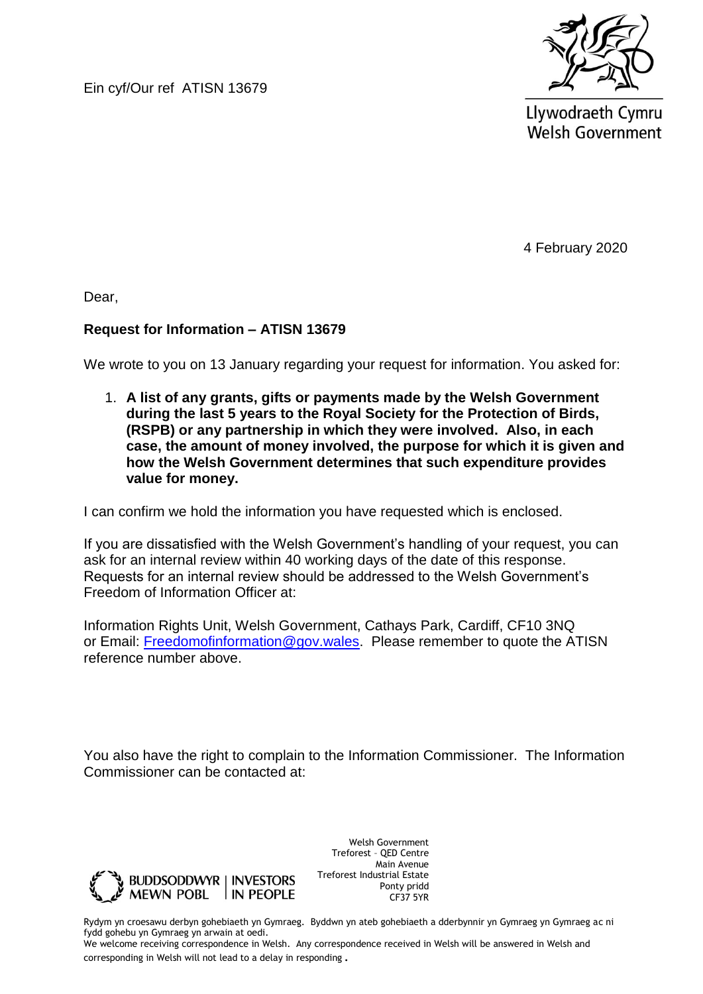Ein cyf/Our ref ATISN 13679



Llywodraeth Cymru **Welsh Government** 

4 February 2020

Dear,

### **Request for Information – ATISN 13679**

We wrote to you on 13 January regarding your request for information. You asked for:

1. **A list of any grants, gifts or payments made by the Welsh Government during the last 5 years to the Royal Society for the Protection of Birds, (RSPB) or any partnership in which they were involved. Also, in each case, the amount of money involved, the purpose for which it is given and how the Welsh Government determines that such expenditure provides value for money.**

I can confirm we hold the information you have requested which is enclosed.

If you are dissatisfied with the Welsh Government's handling of your request, you can ask for an internal review within 40 working days of the date of this response. Requests for an internal review should be addressed to the Welsh Government's Freedom of Information Officer at:

Information Rights Unit, Welsh Government, Cathays Park, Cardiff, CF10 3NQ or Email: [Freedomofinformation@gov.wales.](mailto:Freedomofinformation@gov.wales) Please remember to quote the ATISN reference number above.

You also have the right to complain to the Information Commissioner. The Information Commissioner can be contacted at:



Welsh Government Treforest – QED Centre Main Avenue Treforest Industrial Estate Ponty pridd CF37 5YR

Rydym yn croesawu derbyn gohebiaeth yn Gymraeg. Byddwn yn ateb gohebiaeth a dderbynnir yn Gymraeg yn Gymraeg ac ni fydd gohebu yn Gymraeg yn arwain at oedi.

We welcome receiving correspondence in Welsh. Any correspondence received in Welsh will be answered in Welsh and corresponding in Welsh will not lead to a delay in responding.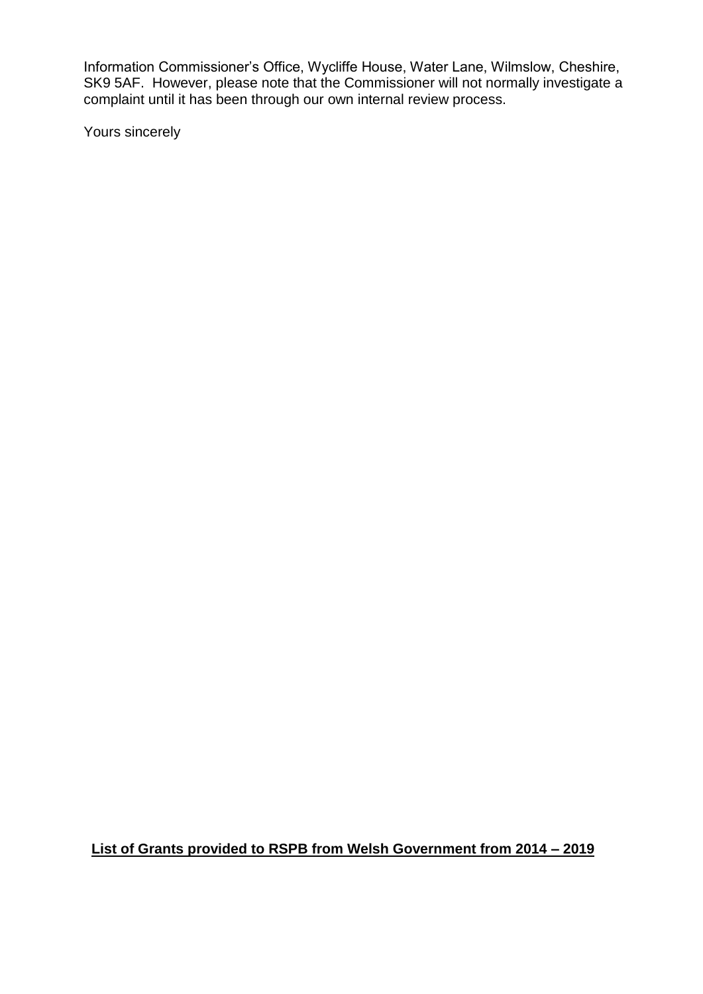Information Commissioner's Office, Wycliffe House, Water Lane, Wilmslow, Cheshire, SK9 5AF. However, please note that the Commissioner will not normally investigate a complaint until it has been through our own internal review process.

Yours sincerely

**List of Grants provided to RSPB from Welsh Government from 2014 – 2019**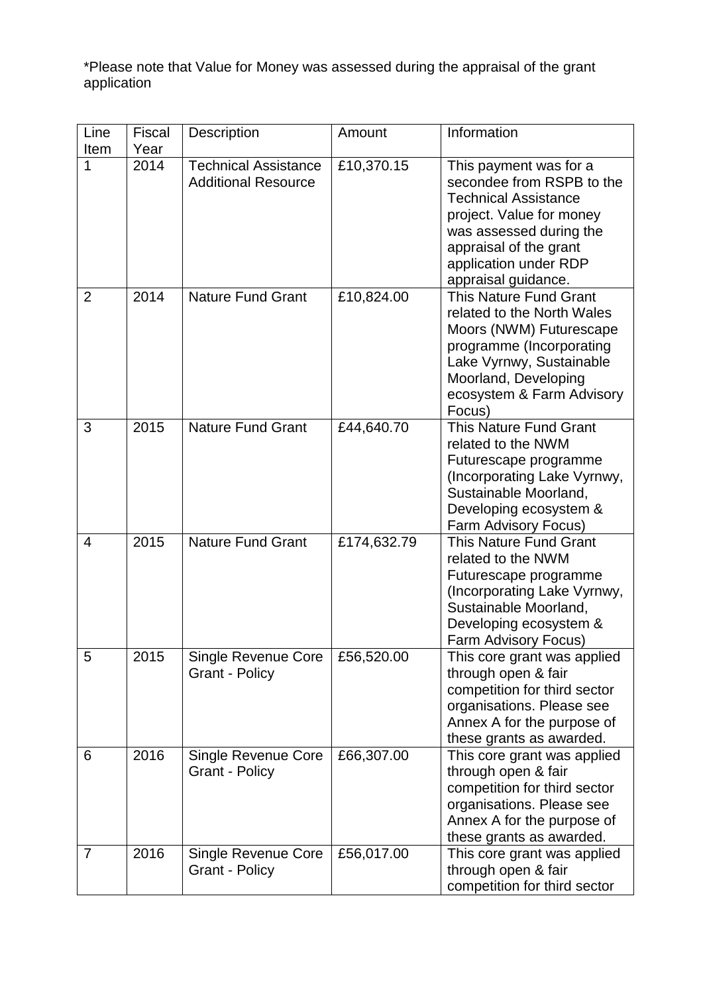\*Please note that Value for Money was assessed during the appraisal of the grant application

| Line<br>Item   | Fiscal<br>Year | Description                                               | Amount      | Information                                                                                                                                                                                                         |
|----------------|----------------|-----------------------------------------------------------|-------------|---------------------------------------------------------------------------------------------------------------------------------------------------------------------------------------------------------------------|
| 1              | 2014           | <b>Technical Assistance</b><br><b>Additional Resource</b> | £10,370.15  | This payment was for a<br>secondee from RSPB to the<br><b>Technical Assistance</b><br>project. Value for money<br>was assessed during the<br>appraisal of the grant<br>application under RDP<br>appraisal guidance. |
| 2              | 2014           | <b>Nature Fund Grant</b>                                  | £10,824.00  | This Nature Fund Grant<br>related to the North Wales<br>Moors (NWM) Futurescape<br>programme (Incorporating<br>Lake Vyrnwy, Sustainable<br>Moorland, Developing<br>ecosystem & Farm Advisory<br>Focus)              |
| 3              | 2015           | <b>Nature Fund Grant</b>                                  | £44,640.70  | This Nature Fund Grant<br>related to the NWM<br>Futurescape programme<br>(Incorporating Lake Vyrnwy,<br>Sustainable Moorland,<br>Developing ecosystem &<br>Farm Advisory Focus)                                     |
| $\overline{4}$ | 2015           | <b>Nature Fund Grant</b>                                  | £174,632.79 | <b>This Nature Fund Grant</b><br>related to the NWM<br>Futurescape programme<br>(Incorporating Lake Vyrnwy,<br>Sustainable Moorland,<br>Developing ecosystem &<br>Farm Advisory Focus)                              |
| 5              | 2015           | <b>Single Revenue Core</b><br><b>Grant - Policy</b>       | £56,520.00  | This core grant was applied<br>through open & fair<br>competition for third sector<br>organisations. Please see<br>Annex A for the purpose of<br>these grants as awarded.                                           |
| 6              | 2016           | Single Revenue Core<br><b>Grant - Policy</b>              | £66,307.00  | This core grant was applied<br>through open & fair<br>competition for third sector<br>organisations. Please see<br>Annex A for the purpose of<br>these grants as awarded.                                           |
| $\overline{7}$ | 2016           | Single Revenue Core<br><b>Grant - Policy</b>              | £56,017.00  | This core grant was applied<br>through open & fair<br>competition for third sector                                                                                                                                  |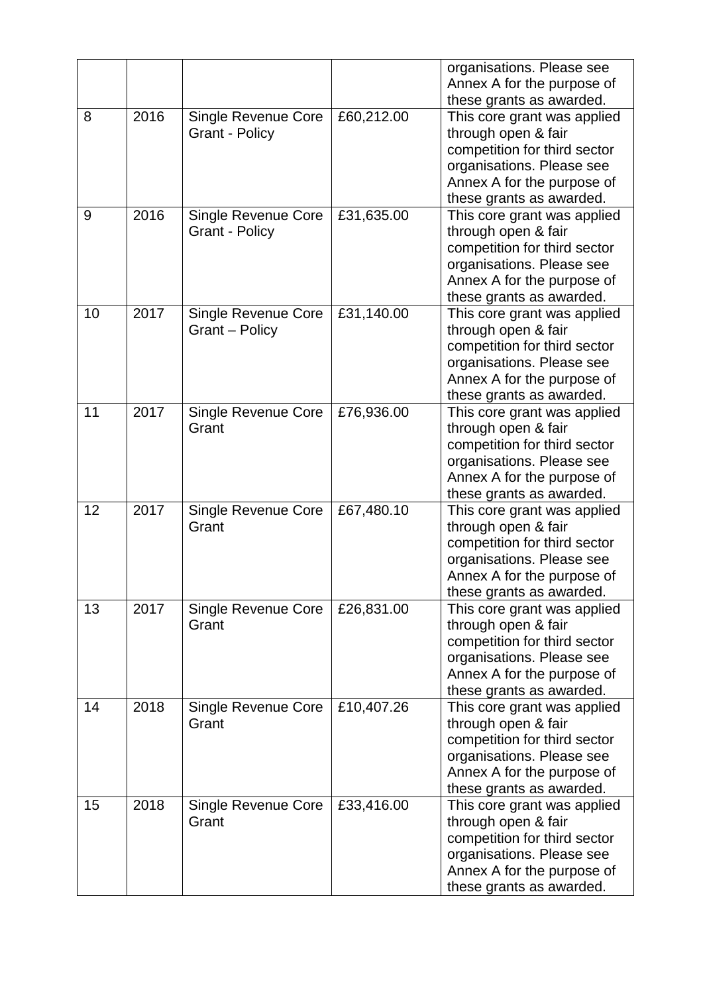|    |      |                                                     |            | organisations. Please see<br>Annex A for the purpose of                                                                                                                                               |
|----|------|-----------------------------------------------------|------------|-------------------------------------------------------------------------------------------------------------------------------------------------------------------------------------------------------|
| 8  | 2016 | <b>Single Revenue Core</b><br><b>Grant - Policy</b> | £60,212.00 | these grants as awarded.<br>This core grant was applied<br>through open & fair<br>competition for third sector<br>organisations. Please see<br>Annex A for the purpose of<br>these grants as awarded. |
| 9  | 2016 | <b>Single Revenue Core</b><br><b>Grant - Policy</b> | £31,635.00 | This core grant was applied<br>through open & fair<br>competition for third sector<br>organisations. Please see<br>Annex A for the purpose of<br>these grants as awarded.                             |
| 10 | 2017 | <b>Single Revenue Core</b><br>Grant - Policy        | £31,140.00 | This core grant was applied<br>through open & fair<br>competition for third sector<br>organisations. Please see<br>Annex A for the purpose of<br>these grants as awarded.                             |
| 11 | 2017 | <b>Single Revenue Core</b><br>Grant                 | £76,936.00 | This core grant was applied<br>through open & fair<br>competition for third sector<br>organisations. Please see<br>Annex A for the purpose of<br>these grants as awarded.                             |
| 12 | 2017 | <b>Single Revenue Core</b><br>Grant                 | £67,480.10 | This core grant was applied<br>through open & fair<br>competition for third sector<br>organisations. Please see<br>Annex A for the purpose of<br>these grants as awarded.                             |
| 13 | 2017 | Single Revenue Core<br>Grant                        | £26,831.00 | This core grant was applied<br>through open & fair<br>competition for third sector<br>organisations. Please see<br>Annex A for the purpose of<br>these grants as awarded.                             |
| 14 | 2018 | Single Revenue Core<br>Grant                        | £10,407.26 | This core grant was applied<br>through open & fair<br>competition for third sector<br>organisations. Please see<br>Annex A for the purpose of<br>these grants as awarded.                             |
| 15 | 2018 | Single Revenue Core<br>Grant                        | £33,416.00 | This core grant was applied<br>through open & fair<br>competition for third sector<br>organisations. Please see<br>Annex A for the purpose of<br>these grants as awarded.                             |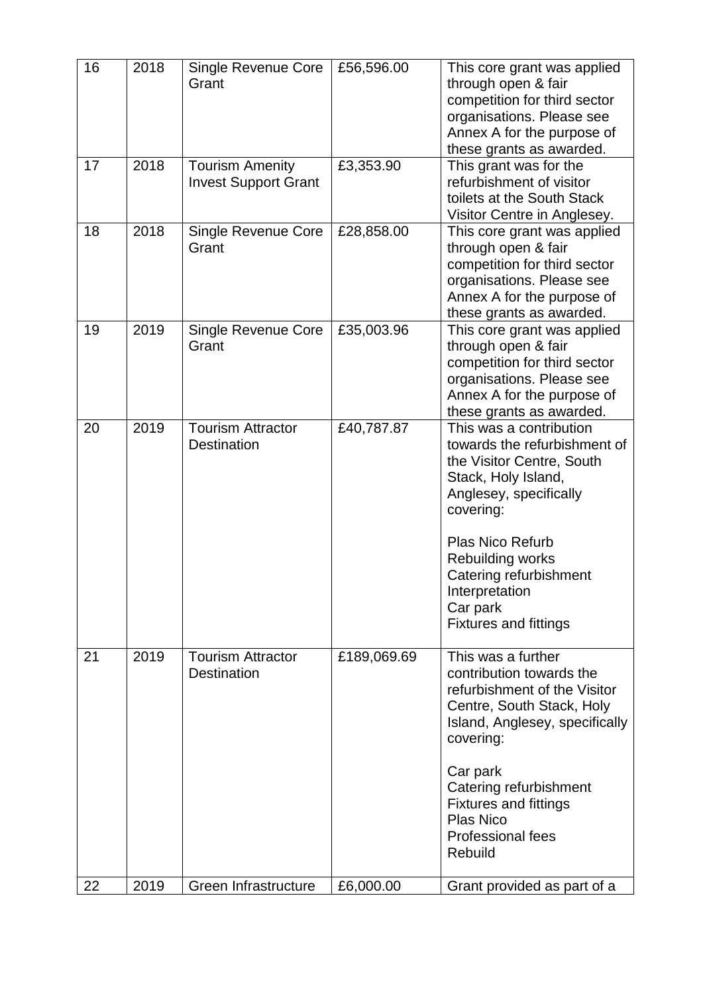| 16 | 2018 | <b>Single Revenue Core</b><br>Grant                   | £56,596.00  | This core grant was applied<br>through open & fair<br>competition for third sector<br>organisations. Please see<br>Annex A for the purpose of<br>these grants as awarded.                                                                                                                   |
|----|------|-------------------------------------------------------|-------------|---------------------------------------------------------------------------------------------------------------------------------------------------------------------------------------------------------------------------------------------------------------------------------------------|
| 17 | 2018 | <b>Tourism Amenity</b><br><b>Invest Support Grant</b> | £3,353.90   | This grant was for the<br>refurbishment of visitor<br>toilets at the South Stack<br>Visitor Centre in Anglesey.                                                                                                                                                                             |
| 18 | 2018 | <b>Single Revenue Core</b><br>Grant                   | £28,858.00  | This core grant was applied<br>through open & fair<br>competition for third sector<br>organisations. Please see<br>Annex A for the purpose of<br>these grants as awarded.                                                                                                                   |
| 19 | 2019 | <b>Single Revenue Core</b><br>Grant                   | £35,003.96  | This core grant was applied<br>through open & fair<br>competition for third sector<br>organisations. Please see<br>Annex A for the purpose of<br>these grants as awarded.                                                                                                                   |
| 20 | 2019 | <b>Tourism Attractor</b><br>Destination               | £40,787.87  | This was a contribution<br>towards the refurbishment of<br>the Visitor Centre, South<br>Stack, Holy Island,<br>Anglesey, specifically<br>covering:<br><b>Plas Nico Refurb</b><br>Rebuilding works<br>Catering refurbishment<br>Interpretation<br>Car park<br><b>Fixtures and fittings</b>   |
| 21 | 2019 | <b>Tourism Attractor</b><br><b>Destination</b>        | £189,069.69 | This was a further<br>contribution towards the<br>refurbishment of the Visitor<br>Centre, South Stack, Holy<br>Island, Anglesey, specifically<br>covering:<br>Car park<br>Catering refurbishment<br><b>Fixtures and fittings</b><br><b>Plas Nico</b><br><b>Professional fees</b><br>Rebuild |
| 22 | 2019 | Green Infrastructure                                  | £6,000.00   | Grant provided as part of a                                                                                                                                                                                                                                                                 |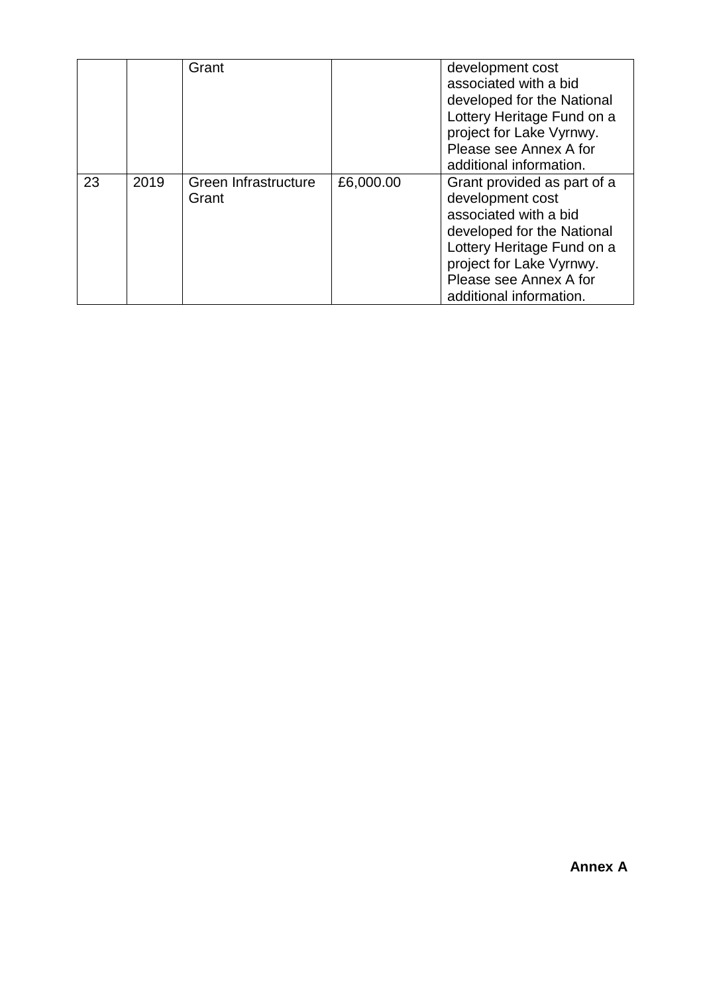|    |      | Grant                         |           | development cost<br>associated with a bid<br>developed for the National<br>Lottery Heritage Fund on a<br>project for Lake Vyrnwy.<br>Please see Annex A for<br>additional information.                                |
|----|------|-------------------------------|-----------|-----------------------------------------------------------------------------------------------------------------------------------------------------------------------------------------------------------------------|
| 23 | 2019 | Green Infrastructure<br>Grant | £6,000.00 | Grant provided as part of a<br>development cost<br>associated with a bid<br>developed for the National<br>Lottery Heritage Fund on a<br>project for Lake Vyrnwy.<br>Please see Annex A for<br>additional information. |